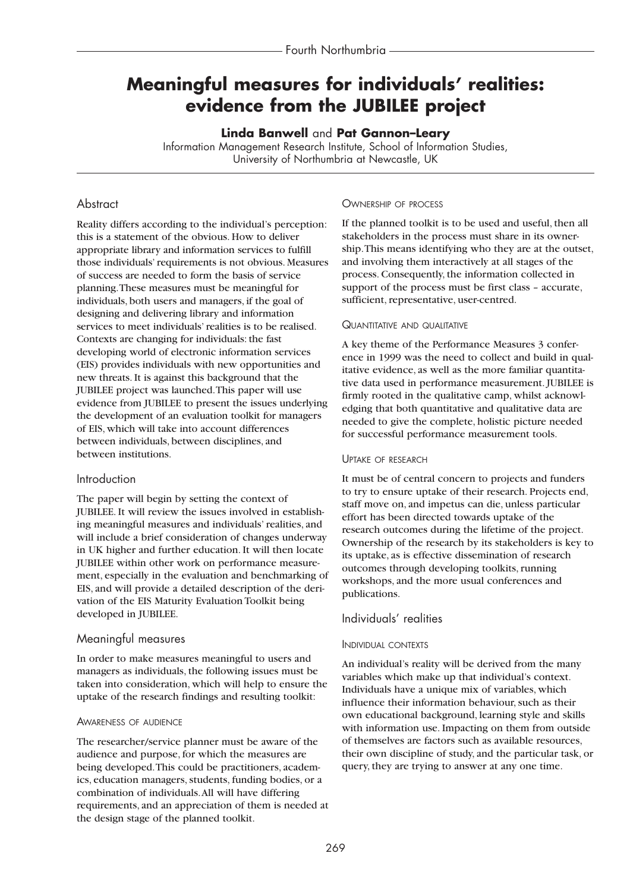# **Meaningful measures for individuals' realities: evidence from the JUBILEE project**

**Linda Banwell** and **Pat Gannon–Leary**

Information Management Research Institute, School of Information Studies, University of Northumbria at Newcastle, UK

## **Abstract**

Reality differs according to the individual's perception: this is a statement of the obvious. How to deliver appropriate library and information services to fulfill those individuals' requirements is not obvious. Measures of success are needed to form the basis of service planning.These measures must be meaningful for individuals, both users and managers, if the goal of designing and delivering library and information services to meet individuals' realities is to be realised. Contexts are changing for individuals: the fast developing world of electronic information services (EIS) provides individuals with new opportunities and new threats. It is against this background that the JUBILEE project was launched.This paper will use evidence from JUBILEE to present the issues underlying the development of an evaluation toolkit for managers of EIS, which will take into account differences between individuals, between disciplines, and between institutions.

## Introduction

The paper will begin by setting the context of JUBILEE. It will review the issues involved in establishing meaningful measures and individuals' realities, and will include a brief consideration of changes underway in UK higher and further education. It will then locate JUBILEE within other work on performance measurement, especially in the evaluation and benchmarking of EIS, and will provide a detailed description of the derivation of the EIS Maturity Evaluation Toolkit being developed in JUBILEE.

## Meaningful measures

In order to make measures meaningful to users and managers as individuals, the following issues must be taken into consideration, which will help to ensure the uptake of the research findings and resulting toolkit:

## AWARENESS OF AUDIENCE

The researcher/service planner must be aware of the audience and purpose, for which the measures are being developed.This could be practitioners, academics, education managers, students, funding bodies, or a combination of individuals.All will have differing requirements, and an appreciation of them is needed at the design stage of the planned toolkit.

## OWNERSHIP OF PROCESS

If the planned toolkit is to be used and useful, then all stakeholders in the process must share in its ownership.This means identifying who they are at the outset, and involving them interactively at all stages of the process. Consequently, the information collected in support of the process must be first class – accurate, sufficient, representative, user-centred.

## QUANTITATIVE AND QUALITATIVE

A key theme of the Performance Measures 3 conference in 1999 was the need to collect and build in qualitative evidence, as well as the more familiar quantitative data used in performance measurement. JUBILEE is firmly rooted in the qualitative camp, whilst acknowledging that both quantitative and qualitative data are needed to give the complete, holistic picture needed for successful performance measurement tools.

## UPTAKE OF RESEARCH

It must be of central concern to projects and funders to try to ensure uptake of their research. Projects end, staff move on, and impetus can die, unless particular effort has been directed towards uptake of the research outcomes during the lifetime of the project. Ownership of the research by its stakeholders is key to its uptake, as is effective dissemination of research outcomes through developing toolkits, running workshops, and the more usual conferences and publications.

## Individuals' realities

## INDIVIDUAL CONTEXTS

An individual's reality will be derived from the many variables which make up that individual's context. Individuals have a unique mix of variables, which influence their information behaviour, such as their own educational background, learning style and skills with information use. Impacting on them from outside of themselves are factors such as available resources, their own discipline of study, and the particular task, or query, they are trying to answer at any one time.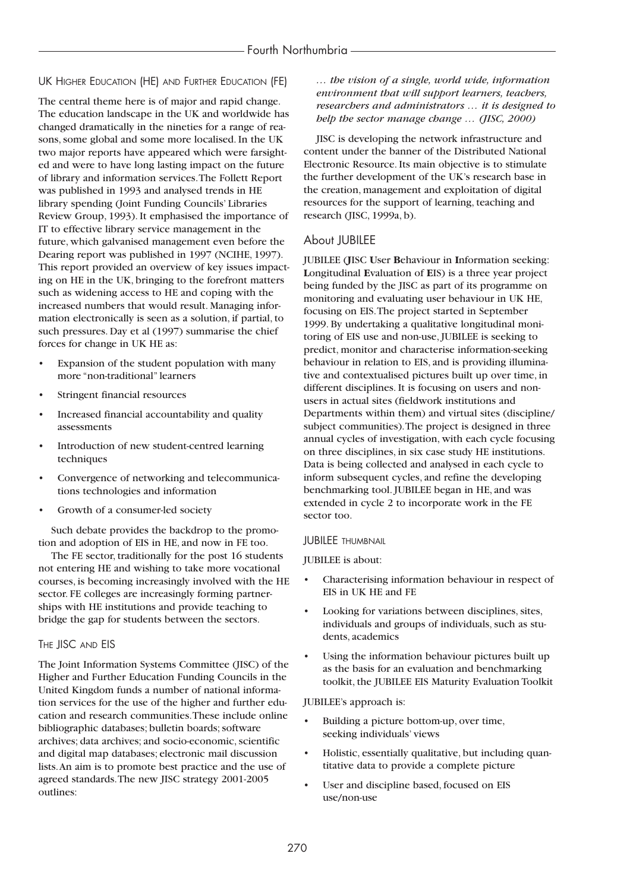UK HIGHER EDUCATION (HE) AND FURTHER EDUCATION (FE)

The central theme here is of major and rapid change. The education landscape in the UK and worldwide has changed dramatically in the nineties for a range of reasons, some global and some more localised. In the UK two major reports have appeared which were farsighted and were to have long lasting impact on the future of library and information services.The Follett Report was published in 1993 and analysed trends in HE library spending (Joint Funding Councils' Libraries Review Group, 1993). It emphasised the importance of IT to effective library service management in the future, which galvanised management even before the Dearing report was published in 1997 (NCIHE, 1997). This report provided an overview of key issues impacting on HE in the UK, bringing to the forefront matters such as widening access to HE and coping with the increased numbers that would result. Managing information electronically is seen as a solution, if partial, to such pressures. Day et al (1997) summarise the chief forces for change in UK HE as:

- Expansion of the student population with many more "non-traditional" learners
- Stringent financial resources
- Increased financial accountability and quality assessments
- Introduction of new student-centred learning techniques
- Convergence of networking and telecommunications technologies and information
- Growth of a consumer-led society

Such debate provides the backdrop to the promotion and adoption of EIS in HE, and now in FE too.

The FE sector, traditionally for the post 16 students not entering HE and wishing to take more vocational courses, is becoming increasingly involved with the HE sector. FE colleges are increasingly forming partnerships with HE institutions and provide teaching to bridge the gap for students between the sectors.

## THE **JISC** AND **EIS**

The Joint Information Systems Committee (JISC) of the Higher and Further Education Funding Councils in the United Kingdom funds a number of national information services for the use of the higher and further education and research communities.These include online bibliographic databases; bulletin boards; software archives; data archives; and socio-economic, scientific and digital map databases; electronic mail discussion lists.An aim is to promote best practice and the use of agreed standards.The new JISC strategy 2001-2005 outlines:

*… the vision of a single, world wide, information environment that will support learners, teachers, researchers and administrators … it is designed to help the sector manage change … (JISC, 2000)* 

JISC is developing the network infrastructure and content under the banner of the Distributed National Electronic Resource. Its main objective is to stimulate the further development of the UK's research base in the creation, management and exploitation of digital resources for the support of learning, teaching and research (JISC, 1999a, b).

## About JUBILEE

JUBILEE (**J**ISC **U**ser **B**ehaviour in **I**nformation seeking: **L**ongitudinal **E**valuation of **E**IS) is a three year project being funded by the JISC as part of its programme on monitoring and evaluating user behaviour in UK HE, focusing on EIS.The project started in September 1999. By undertaking a qualitative longitudinal monitoring of EIS use and non-use, JUBILEE is seeking to predict, monitor and characterise information-seeking behaviour in relation to EIS, and is providing illuminative and contextualised pictures built up over time, in different disciplines. It is focusing on users and nonusers in actual sites (fieldwork institutions and Departments within them) and virtual sites (discipline/ subject communities).The project is designed in three annual cycles of investigation, with each cycle focusing on three disciplines, in six case study HE institutions. Data is being collected and analysed in each cycle to inform subsequent cycles, and refine the developing benchmarking tool. JUBILEE began in HE, and was extended in cycle 2 to incorporate work in the FE sector too.

## JUBILEE THUMBNAIL

## JUBILEE is about:

- Characterising information behaviour in respect of EIS in UK HE and FE
- Looking for variations between disciplines, sites, individuals and groups of individuals, such as students, academics
- Using the information behaviour pictures built up as the basis for an evaluation and benchmarking toolkit, the JUBILEE EIS Maturity Evaluation Toolkit

## JUBILEE's approach is:

- Building a picture bottom-up, over time, seeking individuals' views
- Holistic, essentially qualitative, but including quantitative data to provide a complete picture
- User and discipline based, focused on EIS use/non-use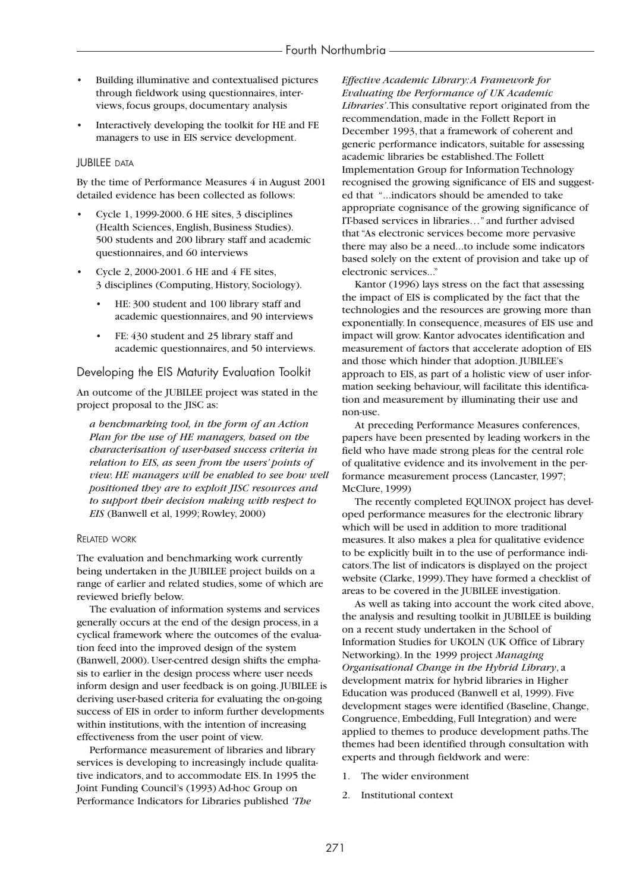- Building illuminative and contextualised pictures through fieldwork using questionnaires, interviews, focus groups, documentary analysis
- Interactively developing the toolkit for HE and FE managers to use in EIS service development.

#### JUBILEE DATA

By the time of Performance Measures 4 in August 2001 detailed evidence has been collected as follows:

- Cycle 1, 1999-2000. 6 HE sites, 3 disciplines (Health Sciences, English, Business Studies). 500 students and 200 library staff and academic questionnaires, and 60 interviews
- Cycle 2, 2000-2001. 6 HE and 4 FE sites, 3 disciplines (Computing, History, Sociology).
	- HE: 300 student and 100 library staff and academic questionnaires, and 90 interviews
	- FE: 430 student and 25 library staff and academic questionnaires, and 50 interviews.

#### Developing the EIS Maturity Evaluation Toolkit

An outcome of the JUBILEE project was stated in the project proposal to the JISC as:

*a benchmarking tool, in the form of an Action Plan for the use of HE managers, based on the characterisation of user-based success criteria in relation to EIS, as seen from the users' points of view. HE managers will be enabled to see how well positioned they are to exploit JISC resources and to support their decision making with respect to EIS* (Banwell et al, 1999; Rowley, 2000)

#### RELATED WORK

The evaluation and benchmarking work currently being undertaken in the JUBILEE project builds on a range of earlier and related studies, some of which are reviewed briefly below.

The evaluation of information systems and services generally occurs at the end of the design process, in a cyclical framework where the outcomes of the evaluation feed into the improved design of the system (Banwell, 2000). User-centred design shifts the emphasis to earlier in the design process where user needs inform design and user feedback is on going. JUBILEE is deriving user-based criteria for evaluating the on-going success of EIS in order to inform further developments within institutions, with the intention of increasing effectiveness from the user point of view.

Performance measurement of libraries and library services is developing to increasingly include qualitative indicators, and to accommodate EIS. In 1995 the Joint Funding Council's (1993) Ad-hoc Group on Performance Indicators for Libraries published *'The*

*Effective Academic Library:A Framework for Evaluating the Performance of UK Academic Libraries'*.This consultative report originated from the recommendation, made in the Follett Report in December 1993, that a framework of coherent and generic performance indicators, suitable for assessing academic libraries be established.The Follett Implementation Group for Information Technology recognised the growing significance of EIS and suggested that "...indicators should be amended to take appropriate cognisance of the growing significance of IT-based services in libraries…" and further advised that "As electronic services become more pervasive there may also be a need...to include some indicators based solely on the extent of provision and take up of electronic services..."

Kantor (1996) lays stress on the fact that assessing the impact of EIS is complicated by the fact that the technologies and the resources are growing more than exponentially. In consequence, measures of EIS use and impact will grow. Kantor advocates identification and measurement of factors that accelerate adoption of EIS and those which hinder that adoption. JUBILEE's approach to EIS, as part of a holistic view of user information seeking behaviour, will facilitate this identification and measurement by illuminating their use and non-use.

At preceding Performance Measures conferences, papers have been presented by leading workers in the field who have made strong pleas for the central role of qualitative evidence and its involvement in the performance measurement process (Lancaster, 1997; McClure, 1999)

The recently completed EQUINOX project has developed performance measures for the electronic library which will be used in addition to more traditional measures. It also makes a plea for qualitative evidence to be explicitly built in to the use of performance indicators.The list of indicators is displayed on the project website (Clarke, 1999).They have formed a checklist of areas to be covered in the JUBILEE investigation.

As well as taking into account the work cited above, the analysis and resulting toolkit in JUBILEE is building on a recent study undertaken in the School of Information Studies for UKOLN (UK Office of Library Networking). In the 1999 project *Managing Organisational Change in the Hybrid Library*, a development matrix for hybrid libraries in Higher Education was produced (Banwell et al, 1999). Five development stages were identified (Baseline, Change, Congruence, Embedding, Full Integration) and were applied to themes to produce development paths.The themes had been identified through consultation with experts and through fieldwork and were:

- 1. The wider environment
- 2. Institutional context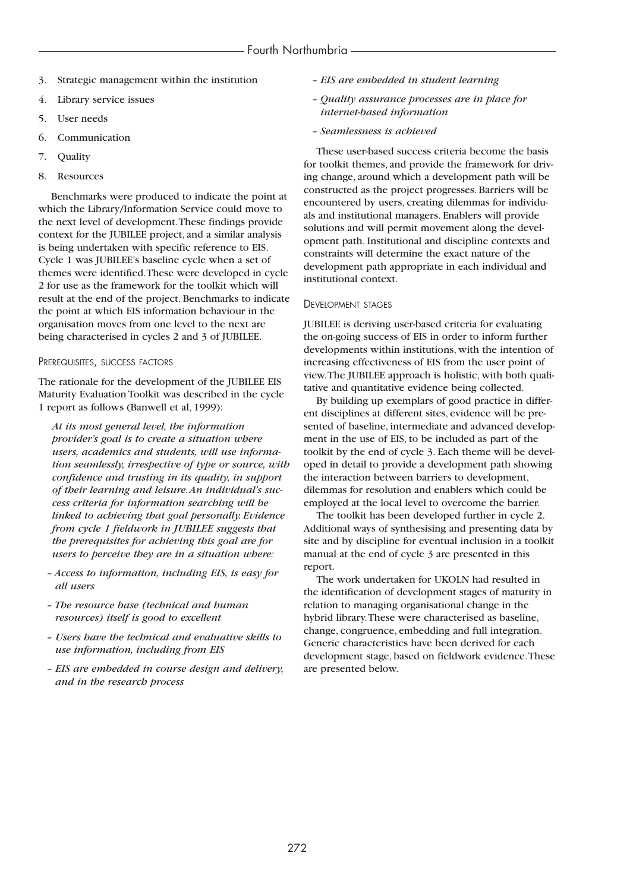- 3. Strategic management within the institution
- 4. Library service issues
- 5. User needs
- 6. Communication
- 7. Quality
- 8. Resources

Benchmarks were produced to indicate the point at which the Library/Information Service could move to the next level of development.These findings provide context for the JUBILEE project, and a similar analysis is being undertaken with specific reference to EIS. Cycle 1 was JUBILEE's baseline cycle when a set of themes were identified.These were developed in cycle 2 for use as the framework for the toolkit which will result at the end of the project. Benchmarks to indicate the point at which EIS information behaviour in the organisation moves from one level to the next are being characterised in cycles 2 and 3 of JUBILEE.

#### PREREQUISITES, SUCCESS FACTORS

The rationale for the development of the JUBILEE EIS Maturity Evaluation Toolkit was described in the cycle 1 report as follows (Banwell et al, 1999):

*At its most general level, the information provider's goal is to create a situation where users, academics and students, will use information seamlessly, irrespective of type or source, with confidence and trusting in its quality, in support of their learning and leisure.An individual's success criteria for information searching will be linked to achieving that goal personally. Evidence from cycle 1 fieldwork in JUBILEE suggests that the prerequisites for achieving this goal are for users to perceive they are in a situation where:*

- *Access to information, including EIS, is easy for all users*
- *The resource base (technical and human resources) itself is good to excellent*
- *Users have the technical and evaluative skills to use information, including from EIS*
- *EIS are embedded in course design and delivery, and in the research process*
- *EIS are embedded in student learning*
- *Quality assurance processes are in place for internet-based information*
- *Seamlessness is achieved*

These user-based success criteria become the basis for toolkit themes, and provide the framework for driving change, around which a development path will be constructed as the project progresses. Barriers will be encountered by users, creating dilemmas for individuals and institutional managers. Enablers will provide solutions and will permit movement along the development path. Institutional and discipline contexts and constraints will determine the exact nature of the development path appropriate in each individual and institutional context.

#### DEVELOPMENT STAGES

JUBILEE is deriving user-based criteria for evaluating the on-going success of EIS in order to inform further developments within institutions, with the intention of increasing effectiveness of EIS from the user point of view.The JUBILEE approach is holistic, with both qualitative and quantitative evidence being collected.

By building up exemplars of good practice in different disciplines at different sites, evidence will be presented of baseline, intermediate and advanced development in the use of EIS, to be included as part of the toolkit by the end of cycle 3. Each theme will be developed in detail to provide a development path showing the interaction between barriers to development, dilemmas for resolution and enablers which could be employed at the local level to overcome the barrier.

The toolkit has been developed further in cycle 2. Additional ways of synthesising and presenting data by site and by discipline for eventual inclusion in a toolkit manual at the end of cycle 3 are presented in this report.

The work undertaken for UKOLN had resulted in the identification of development stages of maturity in relation to managing organisational change in the hybrid library.These were characterised as baseline, change, congruence, embedding and full integration. Generic characteristics have been derived for each development stage, based on fieldwork evidence.These are presented below.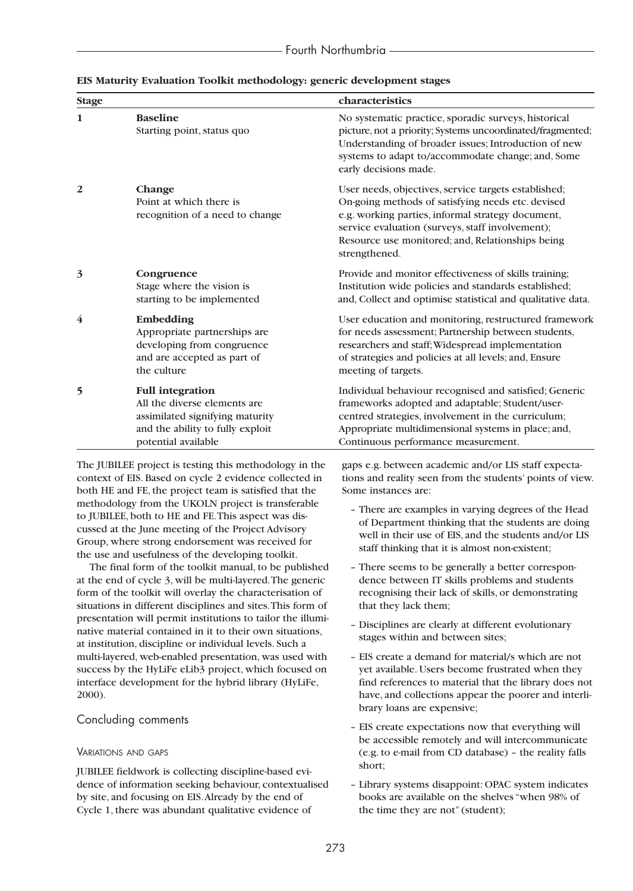| <b>Stage</b>            |                                                                                                                                                       | characteristics                                                                                                                                                                                                                                                                         |
|-------------------------|-------------------------------------------------------------------------------------------------------------------------------------------------------|-----------------------------------------------------------------------------------------------------------------------------------------------------------------------------------------------------------------------------------------------------------------------------------------|
| 1                       | <b>Baseline</b><br>Starting point, status quo                                                                                                         | No systematic practice, sporadic surveys, historical<br>picture, not a priority; Systems uncoordinated/fragmented;<br>Understanding of broader issues; Introduction of new<br>systems to adapt to/accommodate change; and, Some<br>early decisions made.                                |
| $\overline{\mathbf{2}}$ | Change<br>Point at which there is<br>recognition of a need to change                                                                                  | User needs, objectives, service targets established;<br>On-going methods of satisfying needs etc. devised<br>e.g. working parties, informal strategy document,<br>service evaluation (surveys, staff involvement);<br>Resource use monitored; and, Relationships being<br>strengthened. |
| $\overline{\mathbf{3}}$ | Congruence<br>Stage where the vision is<br>starting to be implemented                                                                                 | Provide and monitor effectiveness of skills training;<br>Institution wide policies and standards established;<br>and, Collect and optimise statistical and qualitative data.                                                                                                            |
| 4                       | Embedding<br>Appropriate partnerships are<br>developing from congruence<br>and are accepted as part of<br>the culture                                 | User education and monitoring, restructured framework<br>for needs assessment; Partnership between students,<br>researchers and staff; Widespread implementation<br>of strategies and policies at all levels; and, Ensure<br>meeting of targets.                                        |
| 5                       | <b>Full integration</b><br>All the diverse elements are<br>assimilated signifying maturity<br>and the ability to fully exploit<br>potential available | Individual behaviour recognised and satisfied; Generic<br>frameworks adopted and adaptable; Student/user-<br>centred strategies, involvement in the curriculum;<br>Appropriate multidimensional systems in place; and,<br>Continuous performance measurement.                           |

#### **EIS Maturity Evaluation Toolkit methodology: generic development stages**

The JUBILEE project is testing this methodology in the context of EIS. Based on cycle 2 evidence collected in both HE and FE, the project team is satisfied that the methodology from the UKOLN project is transferable to JUBILEE, both to HE and FE.This aspect was discussed at the June meeting of the Project Advisory Group, where strong endorsement was received for the use and usefulness of the developing toolkit.

The final form of the toolkit manual, to be published at the end of cycle 3, will be multi-layered.The generic form of the toolkit will overlay the characterisation of situations in different disciplines and sites.This form of presentation will permit institutions to tailor the illuminative material contained in it to their own situations, at institution, discipline or individual levels. Such a multi-layered, web-enabled presentation, was used with success by the HyLiFe eLib3 project, which focused on interface development for the hybrid library (HyLiFe, 2000).

## Concluding comments

## VARIATIONS AND GAPS

JUBILEE fieldwork is collecting discipline-based evidence of information seeking behaviour, contextualised by site, and focusing on EIS.Already by the end of Cycle 1, there was abundant qualitative evidence of

gaps e.g. between academic and/or LIS staff expectations and reality seen from the students' points of view. Some instances are:

- There are examples in varying degrees of the Head of Department thinking that the students are doing well in their use of EIS, and the students and/or LIS staff thinking that it is almost non-existent;
- There seems to be generally a better correspondence between IT skills problems and students recognising their lack of skills, or demonstrating that they lack them;
- Disciplines are clearly at different evolutionary stages within and between sites;
- EIS create a demand for material/s which are not yet available. Users become frustrated when they find references to material that the library does not have, and collections appear the poorer and interlibrary loans are expensive;
- EIS create expectations now that everything will be accessible remotely and will intercommunicate (e.g. to e-mail from CD database) – the reality falls short;
- Library systems disappoint: OPAC system indicates books are available on the shelves "when 98% of the time they are not" (student);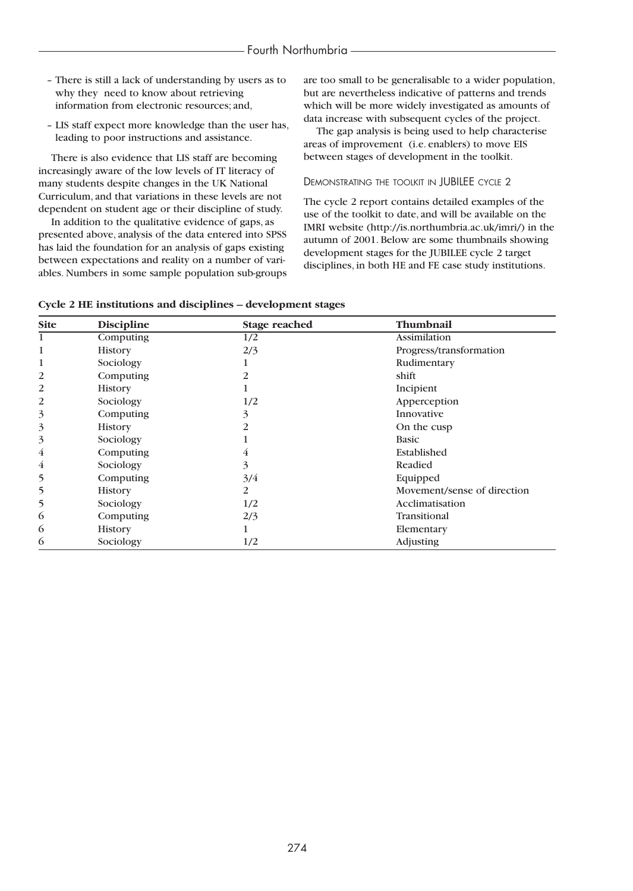- There is still a lack of understanding by users as to why they need to know about retrieving information from electronic resources; and,
- LIS staff expect more knowledge than the user has, leading to poor instructions and assistance.

There is also evidence that LIS staff are becoming increasingly aware of the low levels of IT literacy of many students despite changes in the UK National Curriculum, and that variations in these levels are not dependent on student age or their discipline of study.

In addition to the qualitative evidence of gaps, as presented above, analysis of the data entered into SPSS has laid the foundation for an analysis of gaps existing between expectations and reality on a number of variables. Numbers in some sample population sub-groups are too small to be generalisable to a wider population, but are nevertheless indicative of patterns and trends which will be more widely investigated as amounts of data increase with subsequent cycles of the project.

The gap analysis is being used to help characterise areas of improvement (i.e. enablers) to move EIS between stages of development in the toolkit.

#### DEMONSTRATING THE TOOLKIT IN JUBILEE CYCLE 2

The cycle 2 report contains detailed examples of the use of the toolkit to date, and will be available on the IMRI website (http://is.northumbria.ac.uk/imri/) in the autumn of 2001. Below are some thumbnails showing development stages for the JUBILEE cycle 2 target disciplines, in both HE and FE case study institutions.

| <b>Site</b>    | <b>Discipline</b> | <b>Stage reached</b> | Thumbnail                   |  |
|----------------|-------------------|----------------------|-----------------------------|--|
| 1              | Computing         | 1/2                  | <b>Assimilation</b>         |  |
| 1              | <b>History</b>    | 2/3                  | Progress/transformation     |  |
| 1              | Sociology         | ı                    | Rudimentary                 |  |
| $\overline{2}$ | Computing         | 2                    | shift                       |  |
| 2              | <b>History</b>    |                      | Incipient                   |  |
| 2              | Sociology         | 1/2                  | Apperception                |  |
| 3              | Computing         | 3                    | Innovative                  |  |
| 3              | <b>History</b>    | 2                    | On the cusp                 |  |
| 3              | Sociology         |                      | <b>Basic</b>                |  |
| 4              | Computing         | 4                    | Established                 |  |
| 4              | Sociology         | 3                    | Readied                     |  |
| 5              | Computing         | 3/4                  | Equipped                    |  |
| 5              | <b>History</b>    | 2                    | Movement/sense of direction |  |
| 5              | Sociology         | 1/2                  | Acclimatisation             |  |
| 6              | Computing         | 2/3                  | Transitional                |  |
| 6              | <b>History</b>    | 1                    | Elementary                  |  |
| 6              | Sociology         | 1/2                  | Adjusting                   |  |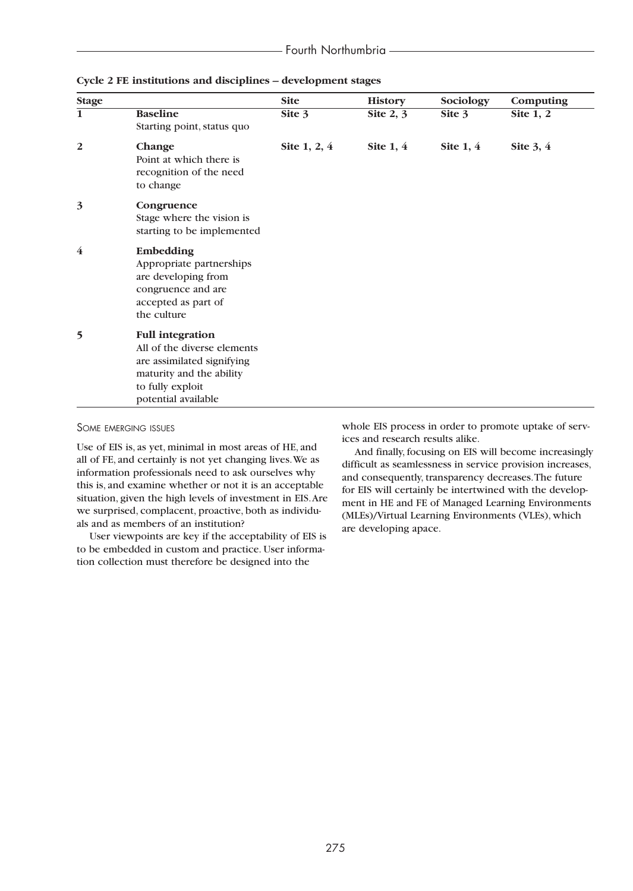| <b>Stage</b>            |                                                                                                                                                             | <b>Site</b>    | <b>History</b> | Sociology   | Computing   |
|-------------------------|-------------------------------------------------------------------------------------------------------------------------------------------------------------|----------------|----------------|-------------|-------------|
| $\overline{\mathbf{1}}$ | <b>Baseline</b><br>Starting point, status quo                                                                                                               | Site $3$       | Site $2, 3$    | Site $3$    | Site $1, 2$ |
| 2                       | Change<br>Point at which there is<br>recognition of the need<br>to change                                                                                   | Site $1, 2, 4$ | Site $1, 4$    | Site $1, 4$ | Site $3, 4$ |
| 3                       | Congruence<br>Stage where the vision is<br>starting to be implemented                                                                                       |                |                |             |             |
| 4                       | Embedding<br>Appropriate partnerships<br>are developing from<br>congruence and are<br>accepted as part of<br>the culture                                    |                |                |             |             |
| 5                       | <b>Full integration</b><br>All of the diverse elements<br>are assimilated signifying<br>maturity and the ability<br>to fully exploit<br>potential available |                |                |             |             |

**Cycle 2 FE institutions and disciplines – development stages**

SOME EMERGING ISSUES

Use of EIS is, as yet, minimal in most areas of HE, and all of FE, and certainly is not yet changing lives.We as information professionals need to ask ourselves why this is, and examine whether or not it is an acceptable situation, given the high levels of investment in EIS.Are we surprised, complacent, proactive, both as individuals and as members of an institution?

User viewpoints are key if the acceptability of EIS is to be embedded in custom and practice. User information collection must therefore be designed into the

whole EIS process in order to promote uptake of services and research results alike.

And finally, focusing on EIS will become increasingly difficult as seamlessness in service provision increases, and consequently, transparency decreases.The future for EIS will certainly be intertwined with the development in HE and FE of Managed Learning Environments (MLEs)/Virtual Learning Environments (VLEs), which are developing apace.